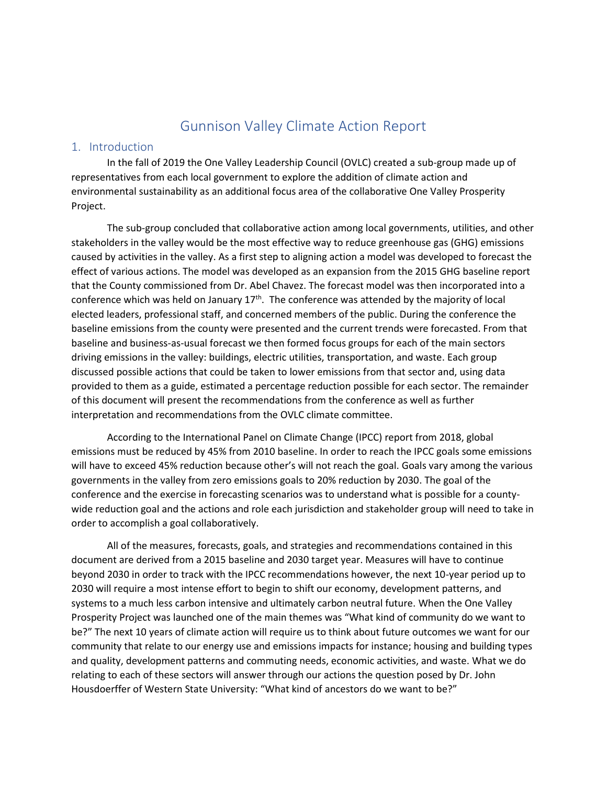# Gunnison Valley Climate Action Report

#### 1. Introduction

In the fall of 2019 the One Valley Leadership Council (OVLC) created a sub-group made up of representatives from each local government to explore the addition of climate action and environmental sustainability as an additional focus area of the collaborative One Valley Prosperity Project.

The sub-group concluded that collaborative action among local governments, utilities, and other stakeholders in the valley would be the most effective way to reduce greenhouse gas (GHG) emissions caused by activities in the valley. As a first step to aligning action a model was developed to forecast the effect of various actions. The model was developed as an expansion from the 2015 GHG baseline report that the County commissioned from Dr. Abel Chavez. The forecast model was then incorporated into a conference which was held on January  $17<sup>th</sup>$ . The conference was attended by the majority of local elected leaders, professional staff, and concerned members of the public. During the conference the baseline emissions from the county were presented and the current trends were forecasted. From that baseline and business-as-usual forecast we then formed focus groups for each of the main sectors driving emissions in the valley: buildings, electric utilities, transportation, and waste. Each group discussed possible actions that could be taken to lower emissions from that sector and, using data provided to them as a guide, estimated a percentage reduction possible for each sector. The remainder of this document will present the recommendations from the conference as well as further interpretation and recommendations from the OVLC climate committee.

According to the International Panel on Climate Change (IPCC) report from 2018, global emissions must be reduced by 45% from 2010 baseline. In order to reach the IPCC goals some emissions will have to exceed 45% reduction because other's will not reach the goal. Goals vary among the various governments in the valley from zero emissions goals to 20% reduction by 2030. The goal of the conference and the exercise in forecasting scenarios was to understand what is possible for a countywide reduction goal and the actions and role each jurisdiction and stakeholder group will need to take in order to accomplish a goal collaboratively.

All of the measures, forecasts, goals, and strategies and recommendations contained in this document are derived from a 2015 baseline and 2030 target year. Measures will have to continue beyond 2030 in order to track with the IPCC recommendations however, the next 10-year period up to 2030 will require a most intense effort to begin to shift our economy, development patterns, and systems to a much less carbon intensive and ultimately carbon neutral future. When the One Valley Prosperity Project was launched one of the main themes was "What kind of community do we want to be?" The next 10 years of climate action will require us to think about future outcomes we want for our community that relate to our energy use and emissions impacts for instance; housing and building types and quality, development patterns and commuting needs, economic activities, and waste. What we do relating to each of these sectors will answer through our actions the question posed by Dr. John Housdoerffer of Western State University: "What kind of ancestors do we want to be?"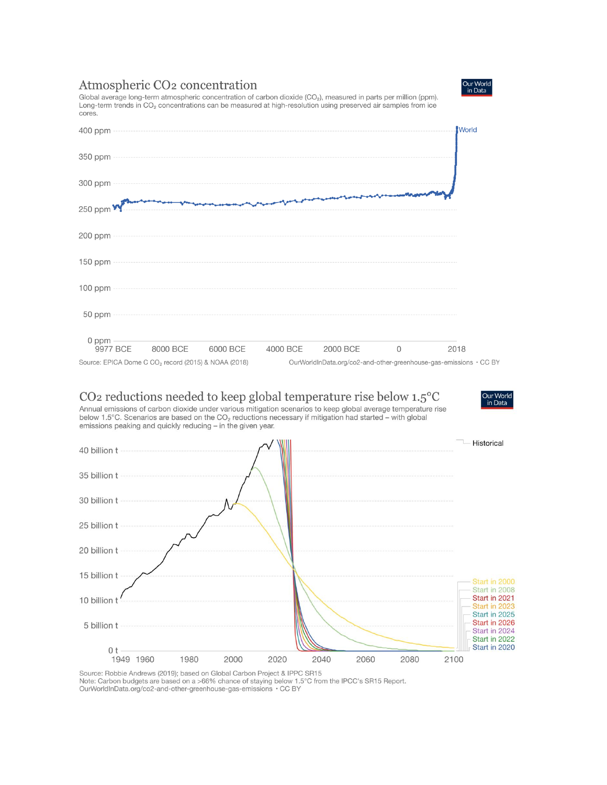# Atmospheric CO<sub>2</sub> concentration

Global average long-term atmospheric concentration of carbon dioxide (CO<sub>2</sub>), measured in parts per million (ppm). Long-term trends in CO<sub>2</sub> concentrations can be measured at high-resolution using preserved air samples from ice cores.



# CO<sub>2</sub> reductions needed to keep global temperature rise below  $1.5^{\circ}$ C

Annual emissions of carbon dioxide under various mitigation scenarios to keep global average temperature rise below 1.5°C. Scenarios are based on the CO<sub>2</sub> reductions necessary if mitigation had started - with global emissions peaking and quickly reducing – in the given year.



Source: Robbie Andrews (2019); based on Global Carbon Project & IPPC SR15<br>Note: Carbon budgets are based on a >66% chance of staying below 1.5°C from the IPCC's SR15 Report.<br>OurWorldInData.org/co2-and-other-greenhouse-gas-



Our World in Data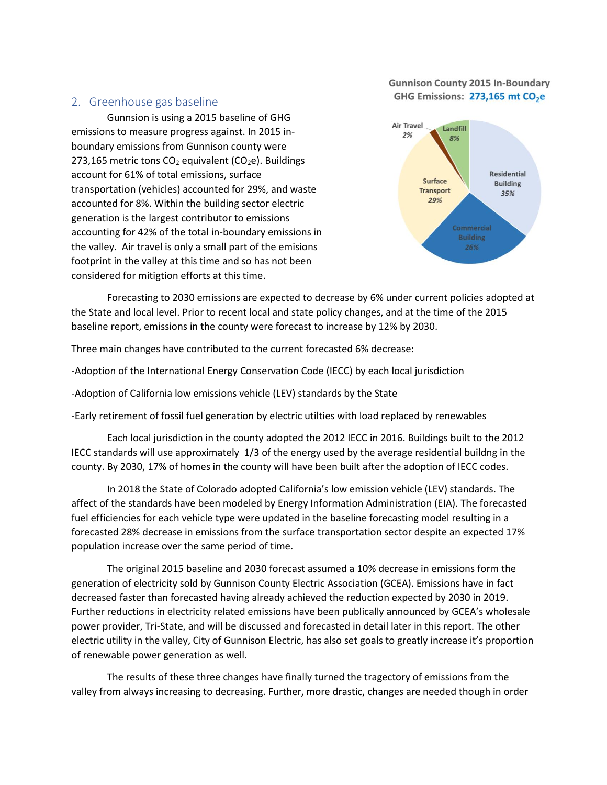#### **Gunnison County 2015 In-Boundary** GHG Emissions: 273,165 mt CO<sub>2</sub>e

#### 2. Greenhouse gas baseline

Gunnsion is using a 2015 baseline of GHG emissions to measure progress against. In 2015 inboundary emissions from Gunnison county were 273,165 metric tons  $CO<sub>2</sub>$  equivalent ( $CO<sub>2</sub>e$ ). Buildings account for 61% of total emissions, surface transportation (vehicles) accounted for 29%, and waste accounted for 8%. Within the building sector electric generation is the largest contributor to emissions accounting for 42% of the total in-boundary emissions in the valley. Air travel is only a small part of the emisions footprint in the valley at this time and so has not been considered for mitigtion efforts at this time.



Forecasting to 2030 emissions are expected to decrease by 6% under current policies adopted at the State and local level. Prior to recent local and state policy changes, and at the time of the 2015 baseline report, emissions in the county were forecast to increase by 12% by 2030.

Three main changes have contributed to the current forecasted 6% decrease:

-Adoption of the International Energy Conservation Code (IECC) by each local jurisdiction

-Adoption of California low emissions vehicle (LEV) standards by the State

-Early retirement of fossil fuel generation by electric utilties with load replaced by renewables

Each local jurisdiction in the county adopted the 2012 IECC in 2016. Buildings built to the 2012 IECC standards will use approximately 1/3 of the energy used by the average residential buildng in the county. By 2030, 17% of homes in the county will have been built after the adoption of IECC codes.

In 2018 the State of Colorado adopted California's low emission vehicle (LEV) standards. The affect of the standards have been modeled by Energy Information Administration (EIA). The forecasted fuel efficiencies for each vehicle type were updated in the baseline forecasting model resulting in a forecasted 28% decrease in emissions from the surface transportation sector despite an expected 17% population increase over the same period of time.

The original 2015 baseline and 2030 forecast assumed a 10% decrease in emissions form the generation of electricity sold by Gunnison County Electric Association (GCEA). Emissions have in fact decreased faster than forecasted having already achieved the reduction expected by 2030 in 2019. Further reductions in electricity related emissions have been publically announced by GCEA's wholesale power provider, Tri-State, and will be discussed and forecasted in detail later in this report. The other electric utility in the valley, City of Gunnison Electric, has also set goals to greatly increase it's proportion of renewable power generation as well.

The results of these three changes have finally turned the tragectory of emissions from the valley from always increasing to decreasing. Further, more drastic, changes are needed though in order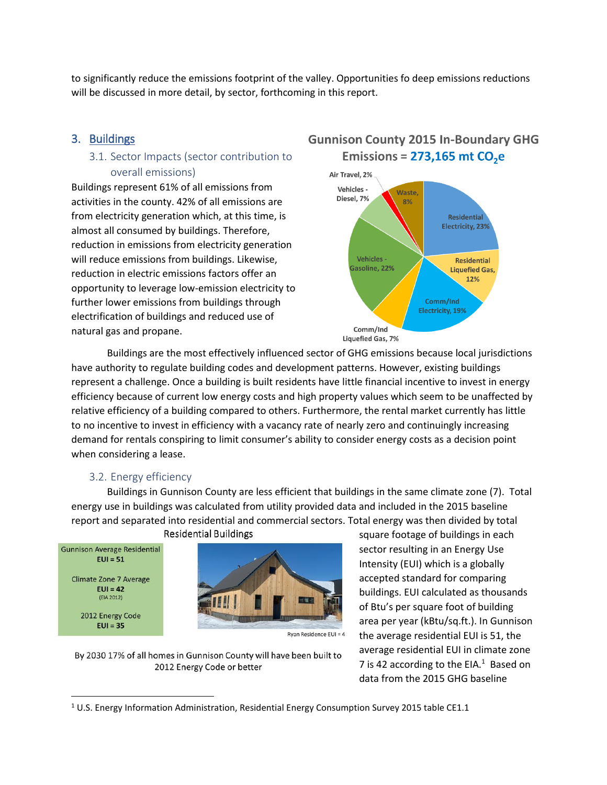to significantly reduce the emissions footprint of the valley. Opportunities fo deep emissions reductions will be discussed in more detail, by sector, forthcoming in this report.

# 3. Buildings

### 3.1. Sector Impacts (sector contribution to overall emissions)

Buildings represent 61% of all emissions from activities in the county. 42% of all emissions are from electricity generation which, at this time, is almost all consumed by buildings. Therefore, reduction in emissions from electricity generation will reduce emissions from buildings. Likewise, reduction in electric emissions factors offer an opportunity to leverage low-emission electricity to further lower emissions from buildings through electrification of buildings and reduced use of natural gas and propane.

# **Gunnison County 2015 In-Boundary GHG** Emissions =  $273,165$  mt  $CO<sub>2</sub>e$



Buildings are the most effectively influenced sector of GHG emissions because local jurisdictions have authority to regulate building codes and development patterns. However, existing buildings represent a challenge. Once a building is built residents have little financial incentive to invest in energy efficiency because of current low energy costs and high property values which seem to be unaffected by relative efficiency of a building compared to others. Furthermore, the rental market currently has little to no incentive to invest in efficiency with a vacancy rate of nearly zero and continuingly increasing demand for rentals conspiring to limit consumer's ability to consider energy costs as a decision point when considering a lease.

#### 3.2. Energy efficiency

Buildings in Gunnison County are less efficient that buildings in the same climate zone (7). Total energy use in buildings was calculated from utility provided data and included in the 2015 baseline report and separated into residential and commercial sectors. Total energy was then divided by total **Residential Buildings** 



2012 Energy Code  $EUI = 35$ 

 $\overline{\phantom{a}}$ 



Rvan Residence EUI = 4

By 2030 17% of all homes in Gunnison County will have been built to 2012 Energy Code or better

square footage of buildings in each sector resulting in an Energy Use Intensity (EUI) which is a globally accepted standard for comparing buildings. EUI calculated as thousands of Btu's per square foot of building area per year (kBtu/sq.ft.). In Gunnison the average residential EUI is 51, the average residential EUI in climate zone 7 is 42 according to the EIA. $1$  Based on data from the 2015 GHG baseline

<sup>&</sup>lt;sup>1</sup> U.S. Energy Information Administration, Residential Energy Consumption Survey 2015 table CE1.1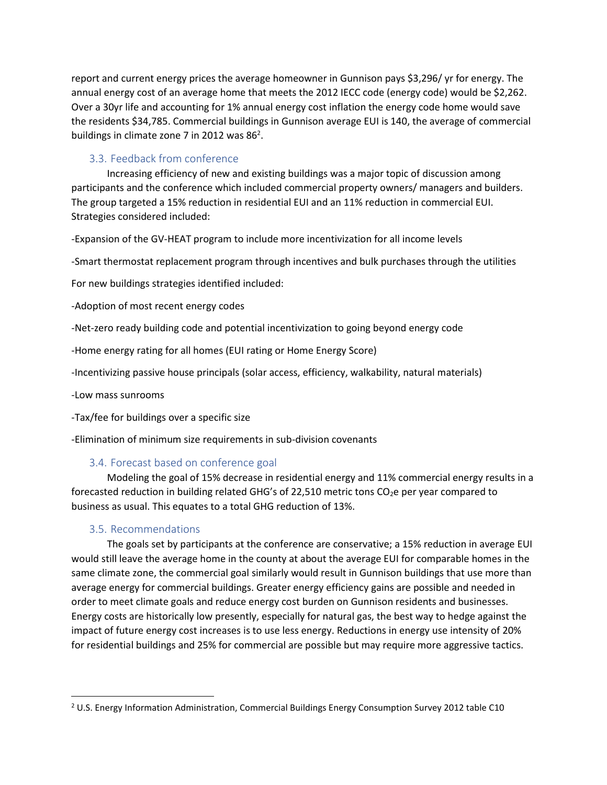report and current energy prices the average homeowner in Gunnison pays \$3,296/ yr for energy. The annual energy cost of an average home that meets the 2012 IECC code (energy code) would be \$2,262. Over a 30yr life and accounting for 1% annual energy cost inflation the energy code home would save the residents \$34,785. Commercial buildings in Gunnison average EUI is 140, the average of commercial buildings in climate zone 7 in 2012 was 86<sup>2</sup>.

# 3.3. Feedback from conference

Increasing efficiency of new and existing buildings was a major topic of discussion among participants and the conference which included commercial property owners/ managers and builders. The group targeted a 15% reduction in residential EUI and an 11% reduction in commercial EUI. Strategies considered included:

-Expansion of the GV-HEAT program to include more incentivization for all income levels

-Smart thermostat replacement program through incentives and bulk purchases through the utilities

For new buildings strategies identified included:

-Adoption of most recent energy codes

-Net-zero ready building code and potential incentivization to going beyond energy code

-Home energy rating for all homes (EUI rating or Home Energy Score)

-Incentivizing passive house principals (solar access, efficiency, walkability, natural materials)

-Low mass sunrooms

 $\overline{\phantom{a}}$ 

-Tax/fee for buildings over a specific size

-Elimination of minimum size requirements in sub-division covenants

#### 3.4. Forecast based on conference goal

Modeling the goal of 15% decrease in residential energy and 11% commercial energy results in a forecasted reduction in building related GHG's of 22,510 metric tons  $CO<sub>2</sub>e$  per year compared to business as usual. This equates to a total GHG reduction of 13%.

#### 3.5. Recommendations

The goals set by participants at the conference are conservative; a 15% reduction in average EUI would still leave the average home in the county at about the average EUI for comparable homes in the same climate zone, the commercial goal similarly would result in Gunnison buildings that use more than average energy for commercial buildings. Greater energy efficiency gains are possible and needed in order to meet climate goals and reduce energy cost burden on Gunnison residents and businesses. Energy costs are historically low presently, especially for natural gas, the best way to hedge against the impact of future energy cost increases is to use less energy. Reductions in energy use intensity of 20% for residential buildings and 25% for commercial are possible but may require more aggressive tactics.

<sup>&</sup>lt;sup>2</sup> U.S. Energy Information Administration, Commercial Buildings Energy Consumption Survey 2012 table C10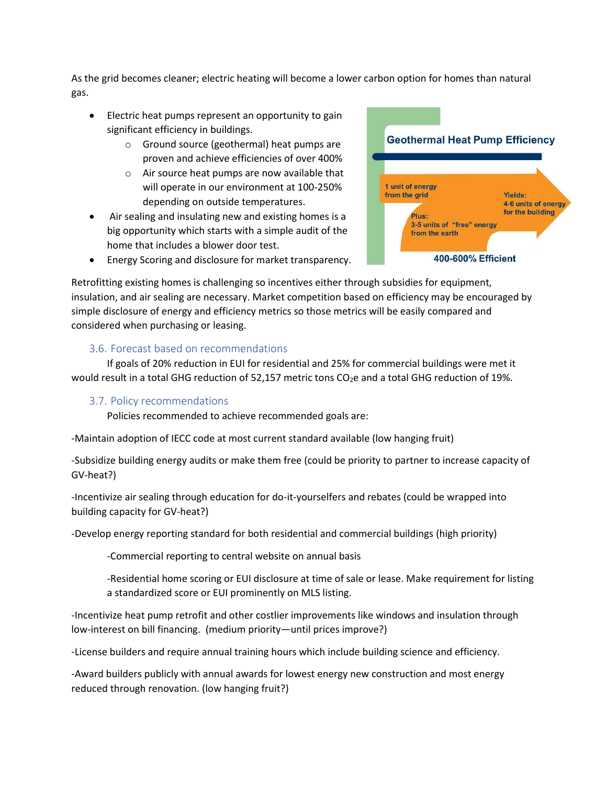As the grid becomes cleaner; electric heating will become a lower carbon option for homes than natural gas.

- Electric heat pumps represent an opportunity to gain significant efficiency in buildings.
	- o Ground source (geothermal) heat pumps are proven and achieve efficiencies of over 400%
	- o Air source heat pumps are now available that will operate in our environment at 100-250% depending on outside temperatures.
- Air sealing and insulating new and existing homes is a big opportunity which starts with a simple audit of the home that includes a blower door test.
- **Geothermal Heat Pump Efficiency** 1 unit of energy from the grid **Yields:** 4-6 units of energy for the building Plus: 3-5 units of "free" energy from the earth 400-600% Efficient
- Energy Scoring and disclosure for market transparency.

Retrofitting existing homes is challenging so incentives either through subsidies for equipment, insulation, and air sealing are necessary. Market competition based on efficiency may be encouraged by simple disclosure of energy and efficiency metrics so those metrics will be easily compared and considered when purchasing or leasing.

#### 3.6. Forecast based on recommendations

If goals of 20% reduction in EUI for residential and 25% for commercial buildings were met it would result in a total GHG reduction of 52,157 metric tons CO<sub>2</sub>e and a total GHG reduction of 19%.

#### 3.7. Policy recommendations

Policies recommended to achieve recommended goals are:

-Maintain adoption of IECC code at most current standard available (low hanging fruit)

-Subsidize building energy audits or make them free (could be priority to partner to increase capacity of GV-heat?)

-Incentivize air sealing through education for do-it-yourselfers and rebates (could be wrapped into building capacity for GV-heat?)

-Develop energy reporting standard for both residential and commercial buildings (high priority)

-Commercial reporting to central website on annual basis

-Residential home scoring or EUI disclosure at time of sale or lease. Make requirement for listing a standardized score or EUI prominently on MLS listing.

-Incentivize heat pump retrofit and other costlier improvements like windows and insulation through low-interest on bill financing. (medium priority—until prices improve?)

-License builders and require annual training hours which include building science and efficiency.

-Award builders publicly with annual awards for lowest energy new construction and most energy reduced through renovation. (low hanging fruit?)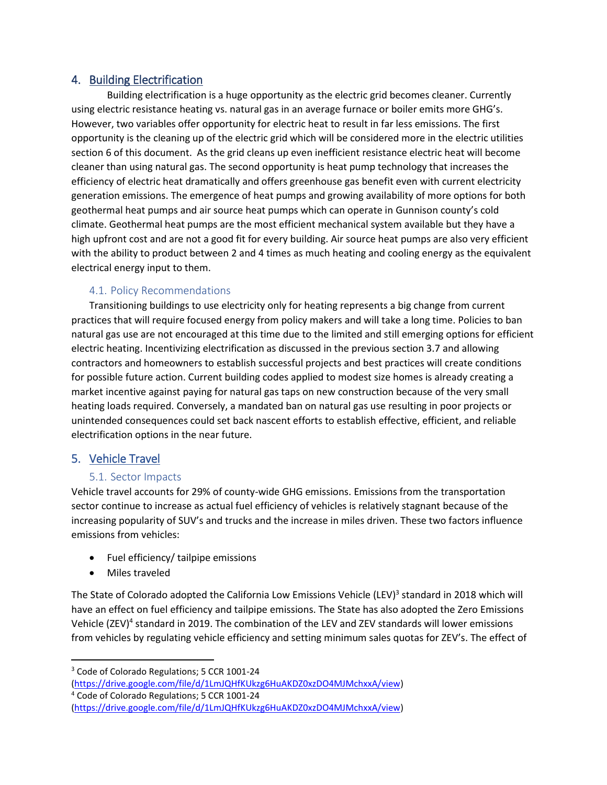# 4. Building Electrification

Building electrification is a huge opportunity as the electric grid becomes cleaner. Currently using electric resistance heating vs. natural gas in an average furnace or boiler emits more GHG's. However, two variables offer opportunity for electric heat to result in far less emissions. The first opportunity is the cleaning up of the electric grid which will be considered more in the electric utilities section 6 of this document. As the grid cleans up even inefficient resistance electric heat will become cleaner than using natural gas. The second opportunity is heat pump technology that increases the efficiency of electric heat dramatically and offers greenhouse gas benefit even with current electricity generation emissions. The emergence of heat pumps and growing availability of more options for both geothermal heat pumps and air source heat pumps which can operate in Gunnison county's cold climate. Geothermal heat pumps are the most efficient mechanical system available but they have a high upfront cost and are not a good fit for every building. Air source heat pumps are also very efficient with the ability to product between 2 and 4 times as much heating and cooling energy as the equivalent electrical energy input to them.

# 4.1. Policy Recommendations

Transitioning buildings to use electricity only for heating represents a big change from current practices that will require focused energy from policy makers and will take a long time. Policies to ban natural gas use are not encouraged at this time due to the limited and still emerging options for efficient electric heating. Incentivizing electrification as discussed in the previous section 3.7 and allowing contractors and homeowners to establish successful projects and best practices will create conditions for possible future action. Current building codes applied to modest size homes is already creating a market incentive against paying for natural gas taps on new construction because of the very small heating loads required. Conversely, a mandated ban on natural gas use resulting in poor projects or unintended consequences could set back nascent efforts to establish effective, efficient, and reliable electrification options in the near future.

# 5. Vehicle Travel

#### 5.1. Sector Impacts

Vehicle travel accounts for 29% of county-wide GHG emissions. Emissions from the transportation sector continue to increase as actual fuel efficiency of vehicles is relatively stagnant because of the increasing popularity of SUV's and trucks and the increase in miles driven. These two factors influence emissions from vehicles:

- Fuel efficiency/ tailpipe emissions
- Miles traveled

l

The State of Colorado adopted the California Low Emissions Vehicle (LEV)<sup>3</sup> standard in 2018 which will have an effect on fuel efficiency and tailpipe emissions. The State has also adopted the Zero Emissions Vehicle (ZEV)<sup>4</sup> standard in 2019. The combination of the LEV and ZEV standards will lower emissions from vehicles by regulating vehicle efficiency and setting minimum sales quotas for ZEV's. The effect of

<sup>3</sup> Code of Colorado Regulations; 5 CCR 1001-24

[<sup>\(</sup>https://drive.google.com/file/d/1LmJQHfKUkzg6HuAKDZ0xzDO4MJMchxxA/view\)](https://drive.google.com/file/d/1LmJQHfKUkzg6HuAKDZ0xzDO4MJMchxxA/view)

<sup>4</sup> Code of Colorado Regulations; 5 CCR 1001-24

[<sup>\(</sup>https://drive.google.com/file/d/1LmJQHfKUkzg6HuAKDZ0xzDO4MJMchxxA/view\)](https://drive.google.com/file/d/1LmJQHfKUkzg6HuAKDZ0xzDO4MJMchxxA/view)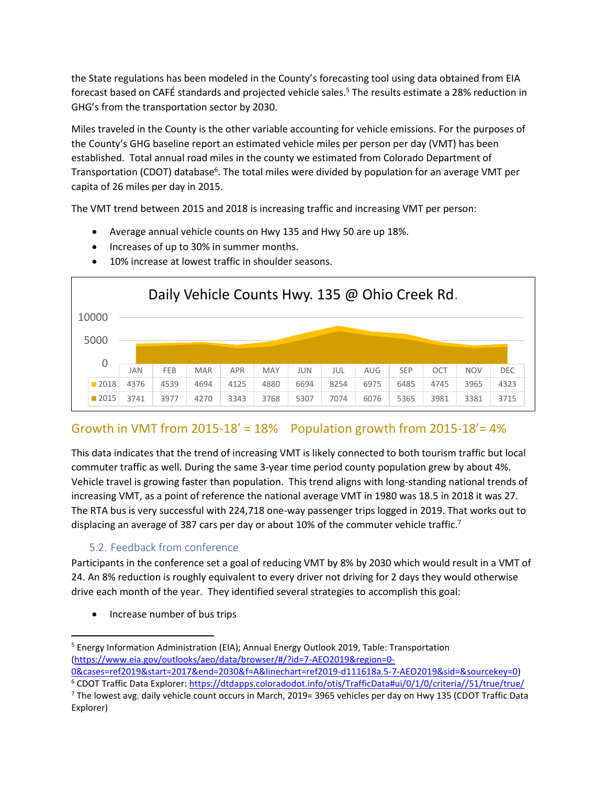the State regulations has been modeled in the County's forecasting tool using data obtained from EIA forecast based on CAFÉ standards and projected vehicle sales. <sup>5</sup> The results estimate a 28% reduction in GHG's from the transportation sector by 2030.

Miles traveled in the County is the other variable accounting for vehicle emissions. For the purposes of the County's GHG baseline report an estimated vehicle miles per person per day (VMT) has been established. Total annual road miles in the county we estimated from Colorado Department of Transportation (CDOT) database<sup>6</sup>. The total miles were divided by population for an average VMT per capita of 26 miles per day in 2015.

The VMT trend between 2015 and 2018 is increasing traffic and increasing VMT per person:

- Average annual vehicle counts on Hwy 135 and Hwy 50 are up 18%.
- Increases of up to 30% in summer months.



• 10% increase at lowest traffic in shoulder seasons.

# Growth in VMT from 2015-18' =  $18\%$  Population growth from 2015-18' =  $4\%$

This data indicates that the trend of increasing VMT is likely connected to both tourism traffic but local commuter traffic as well. During the same 3-year time period county population grew by about 4%. Vehicle travel is growing faster than population. This trend aligns with long-standing national trends of increasing VMT, as a point of reference the national average VMT in 1980 was 18.5 in 2018 it was 27. The RTA bus is very successful with 224,718 one-way passenger trips logged in 2019. That works out to displacing an average of 387 cars per day or about 10% of the commuter vehicle traffic.<sup>7</sup>

# 5.2. Feedback from conference

Participants in the conference set a goal of reducing VMT by 8% by 2030 which would result in a VMT of 24. An 8% reduction is roughly equivalent to every driver not driving for 2 days they would otherwise drive each month of the year. They identified several strategies to accomplish this goal:

• Increase number of bus trips

l <sup>5</sup> Energy Information Administration (EIA); Annual Energy Outlook 2019, Table: Transportation [\(https://www.eia.gov/outlooks/aeo/data/browser/#/?id=7-AEO2019&region=0-](https://www.eia.gov/outlooks/aeo/data/browser/#/?id=7-AEO2019®ion=0-0&cases=ref2019&start=2017&end=2030&f=A&linechart=ref2019-d111618a.5-7-AEO2019&sid=&sourcekey=0)

[<sup>0&</sup>amp;cases=ref2019&start=2017&end=2030&f=A&linechart=ref2019-d111618a.5-7-AEO2019&sid=&sourcekey=0\)](https://www.eia.gov/outlooks/aeo/data/browser/#/?id=7-AEO2019®ion=0-0&cases=ref2019&start=2017&end=2030&f=A&linechart=ref2019-d111618a.5-7-AEO2019&sid=&sourcekey=0) <sup>6</sup> CDOT Traffic Data Explorer:<https://dtdapps.coloradodot.info/otis/TrafficData#ui/0/1/0/criteria//51/true/true/>

 $^7$  The lowest avg. daily vehicle count occurs in March, 2019= 3965 vehicles per day on Hwy 135 (CDOT Traffic Data Explorer)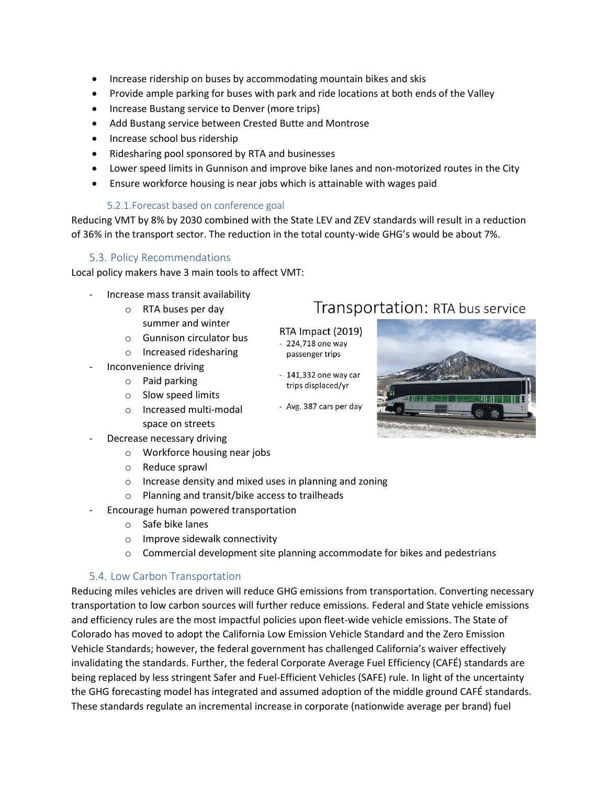- Increase ridership on buses by accommodating mountain bikes and skis
- Provide ample parking for buses with park and ride locations at both ends of the Valley
- Increase Bustang service to Denver (more trips)
- Add Bustang service between Crested Butte and Montrose
- Increase school bus ridership
- Ridesharing pool sponsored by RTA and businesses
- Lower speed limits in Gunnison and improve bike lanes and non-motorized routes in the City
- Ensure workforce housing is near jobs which is attainable with wages paid

#### 5.2.1.Forecast based on conference goal

Reducing VMT by 8% by 2030 combined with the State LEV and ZEV standards will result in a reduction of 36% in the transport sector. The reduction in the total county-wide GHG's would be about 7%.

> RTA Impact (2019) - 224,718 one way passenger trips

 $-141,332$  one way car trips displaced/yr

- Avg. 387 cars per day

#### 5.3. Policy Recommendations

Local policy makers have 3 main tools to affect VMT:

- Increase mass transit availability
	- o RTA buses per day summer and winter
	- o Gunnison circulator bus
	- o Increased ridesharing
- Inconvenience driving
	- o Paid parking
	- o Slow speed limits
	- o Increased multi-modal space on streets
- Decrease necessary driving
	- o Workforce housing near jobs
	- o Reduce sprawl
	- o Increase density and mixed uses in planning and zoning
	- o Planning and transit/bike access to trailheads
- Encourage human powered transportation
	- o Safe bike lanes
	- o Improve sidewalk connectivity
	- o Commercial development site planning accommodate for bikes and pedestrians

#### 5.4. Low Carbon Transportation

Reducing miles vehicles are driven will reduce GHG emissions from transportation. Converting necessary transportation to low carbon sources will further reduce emissions. Federal and State vehicle emissions and efficiency rules are the most impactful policies upon fleet-wide vehicle emissions. The State of Colorado has moved to adopt the California Low Emission Vehicle Standard and the Zero Emission Vehicle Standards; however, the federal government has challenged California's waiver effectively invalidating the standards. Further, the federal Corporate Average Fuel Efficiency (CAFÉ) standards are being replaced by less stringent Safer and Fuel-Efficient Vehicles (SAFE) rule. In light of the uncertainty the GHG forecasting model has integrated and assumed adoption of the middle ground CAFÉ standards. These standards regulate an incremental increase in corporate (nationwide average per brand) fuel

Transportation: RTA bus service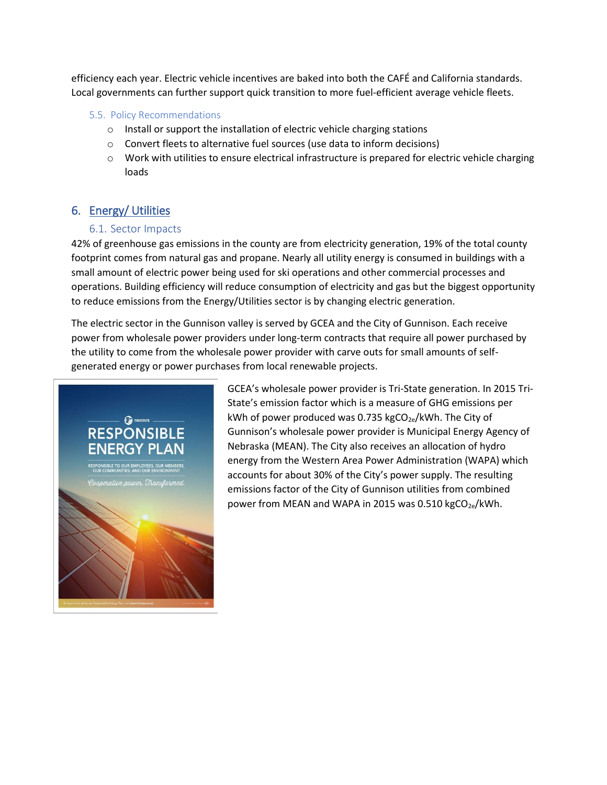efficiency each year. Electric vehicle incentives are baked into both the CAFÉ and California standards. Local governments can further support quick transition to more fuel-efficient average vehicle fleets.

#### 5.5. Policy Recommendations

- o Install or support the installation of electric vehicle charging stations
- o Convert fleets to alternative fuel sources (use data to inform decisions)
- o Work with utilities to ensure electrical infrastructure is prepared for electric vehicle charging loads

# 6. Energy/ Utilities

# 6.1. Sector Impacts

42% of greenhouse gas emissions in the county are from electricity generation, 19% of the total county footprint comes from natural gas and propane. Nearly all utility energy is consumed in buildings with a small amount of electric power being used for ski operations and other commercial processes and operations. Building efficiency will reduce consumption of electricity and gas but the biggest opportunity to reduce emissions from the Energy/Utilities sector is by changing electric generation.

The electric sector in the Gunnison valley is served by GCEA and the City of Gunnison. Each receive power from wholesale power providers under long-term contracts that require all power purchased by the utility to come from the wholesale power provider with carve outs for small amounts of selfgenerated energy or power purchases from local renewable projects.



GCEA's wholesale power provider is Tri-State generation. In 2015 Tri-State's emission factor which is a measure of GHG emissions per kWh of power produced was 0.735 kgCO<sub>2e</sub>/kWh. The City of Gunnison's wholesale power provider is Municipal Energy Agency of Nebraska (MEAN). The City also receives an allocation of hydro energy from the Western Area Power Administration (WAPA) which accounts for about 30% of the City's power supply. The resulting emissions factor of the City of Gunnison utilities from combined power from MEAN and WAPA in 2015 was 0.510 kgCO<sub>2e</sub>/kWh.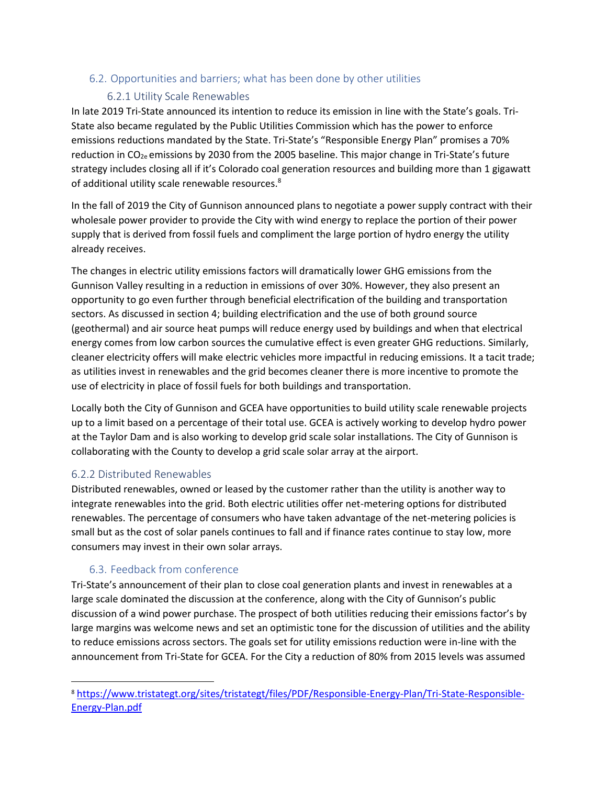# 6.2. Opportunities and barriers; what has been done by other utilities

#### 6.2.1 Utility Scale Renewables

In late 2019 Tri-State announced its intention to reduce its emission in line with the State's goals. Tri-State also became regulated by the Public Utilities Commission which has the power to enforce emissions reductions mandated by the State. Tri-State's "Responsible Energy Plan" promises a 70% reduction in CO<sub>2e</sub> emissions by 2030 from the 2005 baseline. This major change in Tri-State's future strategy includes closing all if it's Colorado coal generation resources and building more than 1 gigawatt of additional utility scale renewable resources.<sup>8</sup>

In the fall of 2019 the City of Gunnison announced plans to negotiate a power supply contract with their wholesale power provider to provide the City with wind energy to replace the portion of their power supply that is derived from fossil fuels and compliment the large portion of hydro energy the utility already receives.

The changes in electric utility emissions factors will dramatically lower GHG emissions from the Gunnison Valley resulting in a reduction in emissions of over 30%. However, they also present an opportunity to go even further through beneficial electrification of the building and transportation sectors. As discussed in section 4; building electrification and the use of both ground source (geothermal) and air source heat pumps will reduce energy used by buildings and when that electrical energy comes from low carbon sources the cumulative effect is even greater GHG reductions. Similarly, cleaner electricity offers will make electric vehicles more impactful in reducing emissions. It a tacit trade; as utilities invest in renewables and the grid becomes cleaner there is more incentive to promote the use of electricity in place of fossil fuels for both buildings and transportation.

Locally both the City of Gunnison and GCEA have opportunities to build utility scale renewable projects up to a limit based on a percentage of their total use. GCEA is actively working to develop hydro power at the Taylor Dam and is also working to develop grid scale solar installations. The City of Gunnison is collaborating with the County to develop a grid scale solar array at the airport.

#### 6.2.2 Distributed Renewables

 $\overline{\phantom{a}}$ 

Distributed renewables, owned or leased by the customer rather than the utility is another way to integrate renewables into the grid. Both electric utilities offer net-metering options for distributed renewables. The percentage of consumers who have taken advantage of the net-metering policies is small but as the cost of solar panels continues to fall and if finance rates continue to stay low, more consumers may invest in their own solar arrays.

#### 6.3. Feedback from conference

Tri-State's announcement of their plan to close coal generation plants and invest in renewables at a large scale dominated the discussion at the conference, along with the City of Gunnison's public discussion of a wind power purchase. The prospect of both utilities reducing their emissions factor's by large margins was welcome news and set an optimistic tone for the discussion of utilities and the ability to reduce emissions across sectors. The goals set for utility emissions reduction were in-line with the announcement from Tri-State for GCEA. For the City a reduction of 80% from 2015 levels was assumed

<sup>8</sup> [https://www.tristategt.org/sites/tristategt/files/PDF/Responsible-Energy-Plan/Tri-State-Responsible-](https://www.tristategt.org/sites/tristategt/files/PDF/Responsible-Energy-Plan/Tri-State-Responsible-Energy-Plan.pdf)[Energy-Plan.pdf](https://www.tristategt.org/sites/tristategt/files/PDF/Responsible-Energy-Plan/Tri-State-Responsible-Energy-Plan.pdf)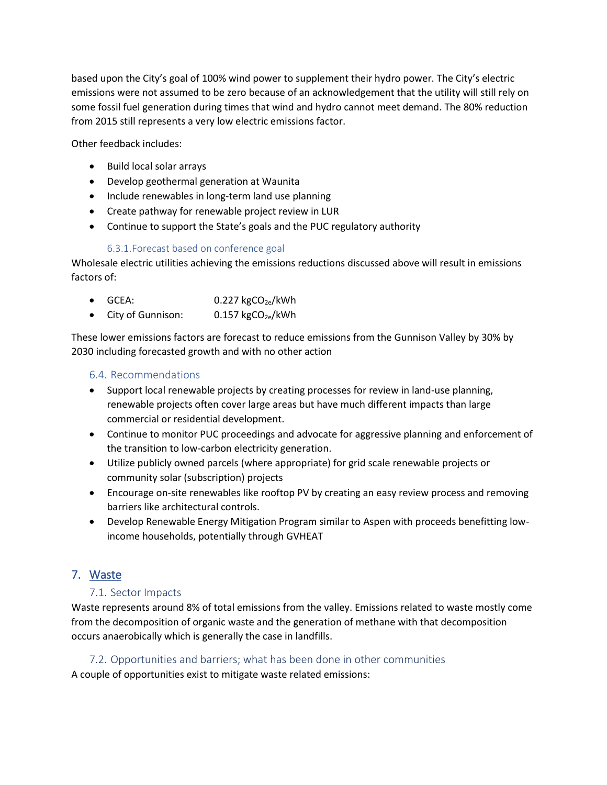based upon the City's goal of 100% wind power to supplement their hydro power. The City's electric emissions were not assumed to be zero because of an acknowledgement that the utility will still rely on some fossil fuel generation during times that wind and hydro cannot meet demand. The 80% reduction from 2015 still represents a very low electric emissions factor.

Other feedback includes:

- Build local solar arrays
- Develop geothermal generation at Waunita
- Include renewables in long-term land use planning
- Create pathway for renewable project review in LUR
- Continue to support the State's goals and the PUC regulatory authority

#### 6.3.1.Forecast based on conference goal

Wholesale electric utilities achieving the emissions reductions discussed above will result in emissions factors of:

- GCEA:  $0.227 \text{ kgCO}_{2e}/\text{kWh}$
- City of Gunnison:  $0.157 \text{ kgCO}_{2e}/kWh$

These lower emissions factors are forecast to reduce emissions from the Gunnison Valley by 30% by 2030 including forecasted growth and with no other action

#### 6.4. Recommendations

- Support local renewable projects by creating processes for review in land-use planning, renewable projects often cover large areas but have much different impacts than large commercial or residential development.
- Continue to monitor PUC proceedings and advocate for aggressive planning and enforcement of the transition to low-carbon electricity generation.
- Utilize publicly owned parcels (where appropriate) for grid scale renewable projects or community solar (subscription) projects
- Encourage on-site renewables like rooftop PV by creating an easy review process and removing barriers like architectural controls.
- Develop Renewable Energy Mitigation Program similar to Aspen with proceeds benefitting lowincome households, potentially through GVHEAT

# 7. Waste

#### 7.1. Sector Impacts

Waste represents around 8% of total emissions from the valley. Emissions related to waste mostly come from the decomposition of organic waste and the generation of methane with that decomposition occurs anaerobically which is generally the case in landfills.

#### 7.2. Opportunities and barriers; what has been done in other communities

A couple of opportunities exist to mitigate waste related emissions: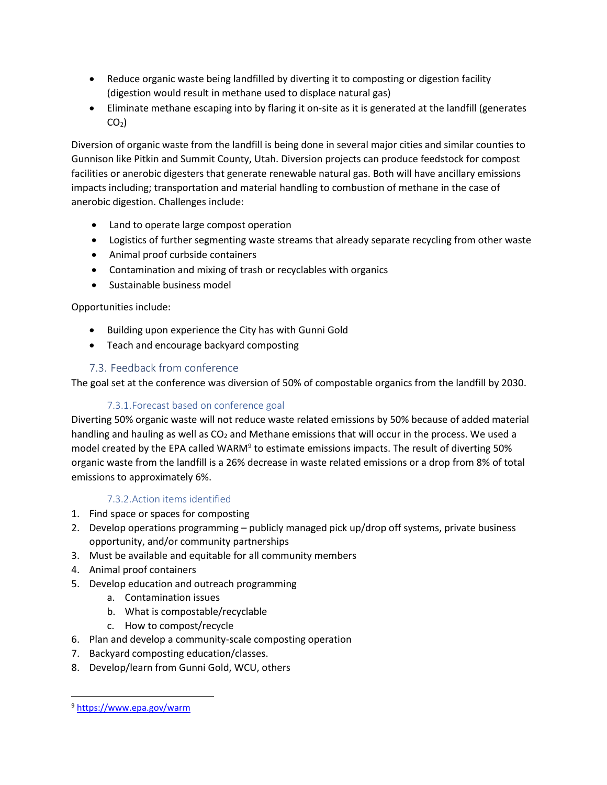- Reduce organic waste being landfilled by diverting it to composting or digestion facility (digestion would result in methane used to displace natural gas)
- Eliminate methane escaping into by flaring it on-site as it is generated at the landfill (generates  $CO<sub>2</sub>$ )

Diversion of organic waste from the landfill is being done in several major cities and similar counties to Gunnison like Pitkin and Summit County, Utah. Diversion projects can produce feedstock for compost facilities or anerobic digesters that generate renewable natural gas. Both will have ancillary emissions impacts including; transportation and material handling to combustion of methane in the case of anerobic digestion. Challenges include:

- Land to operate large compost operation
- Logistics of further segmenting waste streams that already separate recycling from other waste
- Animal proof curbside containers
- Contamination and mixing of trash or recyclables with organics
- Sustainable business model

# Opportunities include:

- Building upon experience the City has with Gunni Gold
- Teach and encourage backyard composting

# 7.3. Feedback from conference

The goal set at the conference was diversion of 50% of compostable organics from the landfill by 2030.

# 7.3.1.Forecast based on conference goal

Diverting 50% organic waste will not reduce waste related emissions by 50% because of added material handling and hauling as well as  $CO<sub>2</sub>$  and Methane emissions that will occur in the process. We used a model created by the EPA called WARM<sup>9</sup> to estimate emissions impacts. The result of diverting 50% organic waste from the landfill is a 26% decrease in waste related emissions or a drop from 8% of total emissions to approximately 6%.

# 7.3.2.Action items identified

- 1. Find space or spaces for composting
- 2. Develop operations programming publicly managed pick up/drop off systems, private business opportunity, and/or community partnerships
- 3. Must be available and equitable for all community members
- 4. Animal proof containers
- 5. Develop education and outreach programming
	- a. Contamination issues
	- b. What is compostable/recyclable
	- c. How to compost/recycle
- 6. Plan and develop a community-scale composting operation
- 7. Backyard composting education/classes.
- 8. Develop/learn from Gunni Gold, WCU, others

 $\overline{\phantom{a}}$ 

<sup>9</sup> <https://www.epa.gov/warm>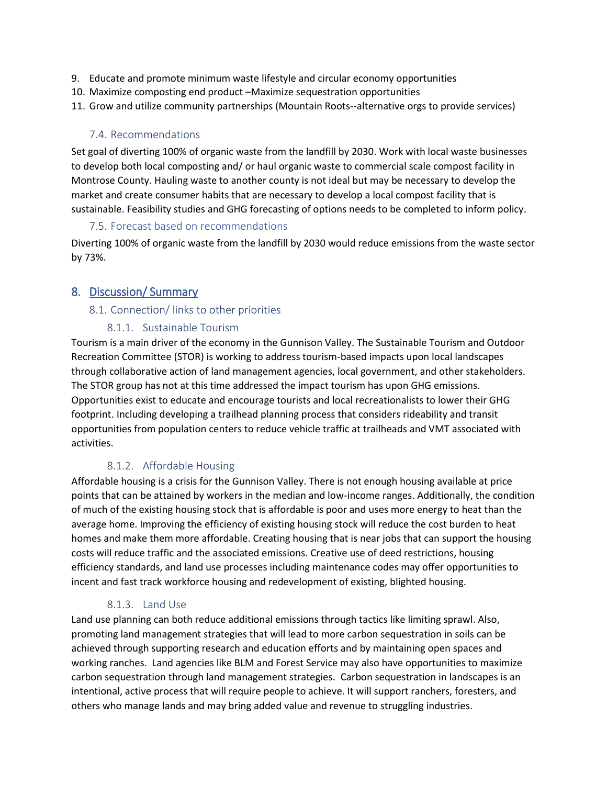- 9. Educate and promote minimum waste lifestyle and circular economy opportunities
- 10. Maximize composting end product –Maximize sequestration opportunities
- 11. Grow and utilize community partnerships (Mountain Roots--alternative orgs to provide services)

# 7.4. Recommendations

Set goal of diverting 100% of organic waste from the landfill by 2030. Work with local waste businesses to develop both local composting and/ or haul organic waste to commercial scale compost facility in Montrose County. Hauling waste to another county is not ideal but may be necessary to develop the market and create consumer habits that are necessary to develop a local compost facility that is sustainable. Feasibility studies and GHG forecasting of options needs to be completed to inform policy.

#### 7.5. Forecast based on recommendations

Diverting 100% of organic waste from the landfill by 2030 would reduce emissions from the waste sector by 73%.

# 8. Discussion/ Summary

#### 8.1. Connection/ links to other priorities

# 8.1.1. Sustainable Tourism

Tourism is a main driver of the economy in the Gunnison Valley. The Sustainable Tourism and Outdoor Recreation Committee (STOR) is working to address tourism-based impacts upon local landscapes through collaborative action of land management agencies, local government, and other stakeholders. The STOR group has not at this time addressed the impact tourism has upon GHG emissions. Opportunities exist to educate and encourage tourists and local recreationalists to lower their GHG footprint. Including developing a trailhead planning process that considers rideability and transit opportunities from population centers to reduce vehicle traffic at trailheads and VMT associated with activities.

# 8.1.2. Affordable Housing

Affordable housing is a crisis for the Gunnison Valley. There is not enough housing available at price points that can be attained by workers in the median and low-income ranges. Additionally, the condition of much of the existing housing stock that is affordable is poor and uses more energy to heat than the average home. Improving the efficiency of existing housing stock will reduce the cost burden to heat homes and make them more affordable. Creating housing that is near jobs that can support the housing costs will reduce traffic and the associated emissions. Creative use of deed restrictions, housing efficiency standards, and land use processes including maintenance codes may offer opportunities to incent and fast track workforce housing and redevelopment of existing, blighted housing.

# 8.1.3. Land Use

Land use planning can both reduce additional emissions through tactics like limiting sprawl. Also, promoting land management strategies that will lead to more carbon sequestration in soils can be achieved through supporting research and education efforts and by maintaining open spaces and working ranches. Land agencies like BLM and Forest Service may also have opportunities to maximize carbon sequestration through land management strategies. Carbon sequestration in landscapes is an intentional, active process that will require people to achieve. It will support ranchers, foresters, and others who manage lands and may bring added value and revenue to struggling industries.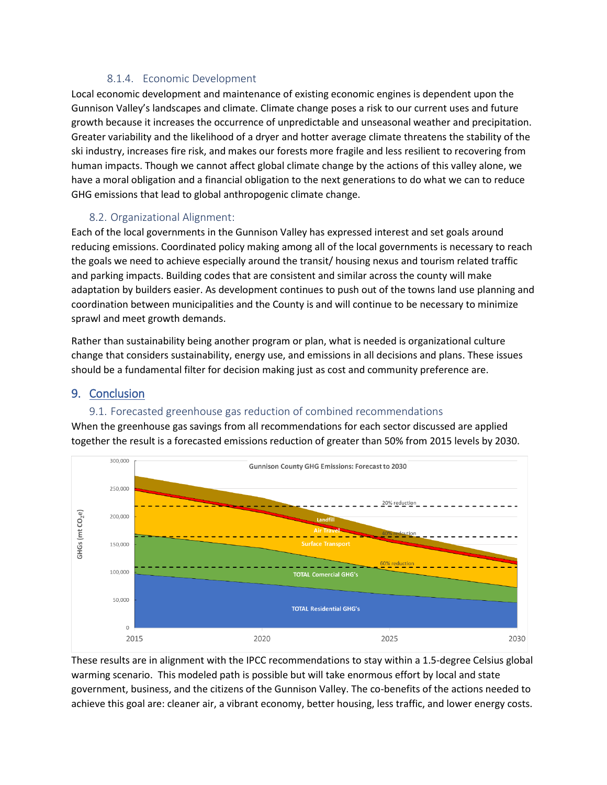# 8.1.4. Economic Development

Local economic development and maintenance of existing economic engines is dependent upon the Gunnison Valley's landscapes and climate. Climate change poses a risk to our current uses and future growth because it increases the occurrence of unpredictable and unseasonal weather and precipitation. Greater variability and the likelihood of a dryer and hotter average climate threatens the stability of the ski industry, increases fire risk, and makes our forests more fragile and less resilient to recovering from human impacts. Though we cannot affect global climate change by the actions of this valley alone, we have a moral obligation and a financial obligation to the next generations to do what we can to reduce GHG emissions that lead to global anthropogenic climate change.

# 8.2. Organizational Alignment:

Each of the local governments in the Gunnison Valley has expressed interest and set goals around reducing emissions. Coordinated policy making among all of the local governments is necessary to reach the goals we need to achieve especially around the transit/ housing nexus and tourism related traffic and parking impacts. Building codes that are consistent and similar across the county will make adaptation by builders easier. As development continues to push out of the towns land use planning and coordination between municipalities and the County is and will continue to be necessary to minimize sprawl and meet growth demands.

Rather than sustainability being another program or plan, what is needed is organizational culture change that considers sustainability, energy use, and emissions in all decisions and plans. These issues should be a fundamental filter for decision making just as cost and community preference are.

### 9. Conclusion

#### 9.1. Forecasted greenhouse gas reduction of combined recommendations

When the greenhouse gas savings from all recommendations for each sector discussed are applied together the result is a forecasted emissions reduction of greater than 50% from 2015 levels by 2030.



These results are in alignment with the IPCC recommendations to stay within a 1.5-degree Celsius global warming scenario. This modeled path is possible but will take enormous effort by local and state government, business, and the citizens of the Gunnison Valley. The co-benefits of the actions needed to achieve this goal are: cleaner air, a vibrant economy, better housing, less traffic, and lower energy costs.